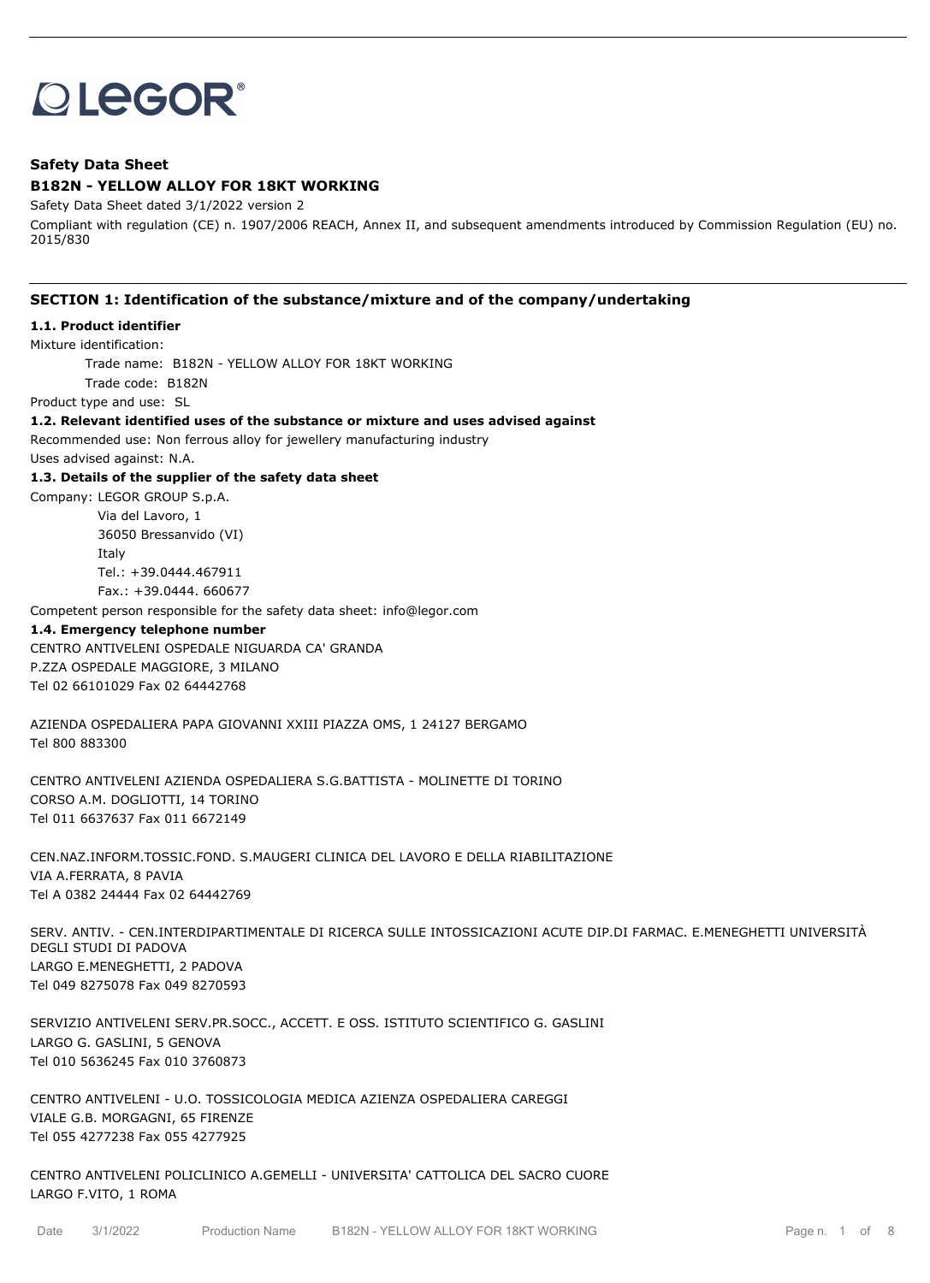# **OLEGOR®**

# **Safety Data Sheet B182N - YELLOW ALLOY FOR 18KT WORKING**

Safety Data Sheet dated 3/1/2022 version 2

Compliant with regulation (CE) n. 1907/2006 REACH, Annex II, and subsequent amendments introduced by Commission Regulation (EU) no. 2015/830

# **SECTION 1: Identification of the substance/mixture and of the company/undertaking**

# **1.1. Product identifier**

#### Mixture identification:

Trade name: B182N - YELLOW ALLOY FOR 18KT WORKING

Trade code: B182N

Product type and use: SL

#### **1.2. Relevant identified uses of the substance or mixture and uses advised against**

Recommended use: Non ferrous alloy for jewellery manufacturing industry

Uses advised against: N.A.

## **1.3. Details of the supplier of the safety data sheet**

Company: LEGOR GROUP S.p.A.

Via del Lavoro, 1 36050 Bressanvido (VI) Italy Tel.: +39.0444.467911 Fax.: +39.0444. 660677

Competent person responsible for the safety data sheet: info@legor.com

#### **1.4. Emergency telephone number**

CENTRO ANTIVELENI OSPEDALE NIGUARDA CA' GRANDA P.ZZA OSPEDALE MAGGIORE, 3 MILANO Tel 02 66101029 Fax 02 64442768

AZIENDA OSPEDALIERA PAPA GIOVANNI XXIII PIAZZA OMS, 1 24127 BERGAMO Tel 800 883300

CENTRO ANTIVELENI AZIENDA OSPEDALIERA S.G.BATTISTA - MOLINETTE DI TORINO CORSO A.M. DOGLIOTTI, 14 TORINO Tel 011 6637637 Fax 011 6672149

CEN.NAZ.INFORM.TOSSIC.FOND. S.MAUGERI CLINICA DEL LAVORO E DELLA RIABILITAZIONE VIA A.FERRATA, 8 PAVIA Tel A 0382 24444 Fax 02 64442769

SERV. ANTIV. - CEN.INTERDIPARTIMENTALE DI RICERCA SULLE INTOSSICAZIONI ACUTE DIP.DI FARMAC. E.MENEGHETTI UNIVERSITÀ DEGLI STUDI DI PADOVA LARGO E.MENEGHETTI, 2 PADOVA Tel 049 8275078 Fax 049 8270593

SERVIZIO ANTIVELENI SERV.PR.SOCC., ACCETT. E OSS. ISTITUTO SCIENTIFICO G. GASLINI LARGO G. GASLINI, 5 GENOVA Tel 010 5636245 Fax 010 3760873

CENTRO ANTIVELENI - U.O. TOSSICOLOGIA MEDICA AZIENZA OSPEDALIERA CAREGGI VIALE G.B. MORGAGNI, 65 FIRENZE Tel 055 4277238 Fax 055 4277925

CENTRO ANTIVELENI POLICLINICO A.GEMELLI - UNIVERSITA' CATTOLICA DEL SACRO CUORE LARGO F.VITO, 1 ROMA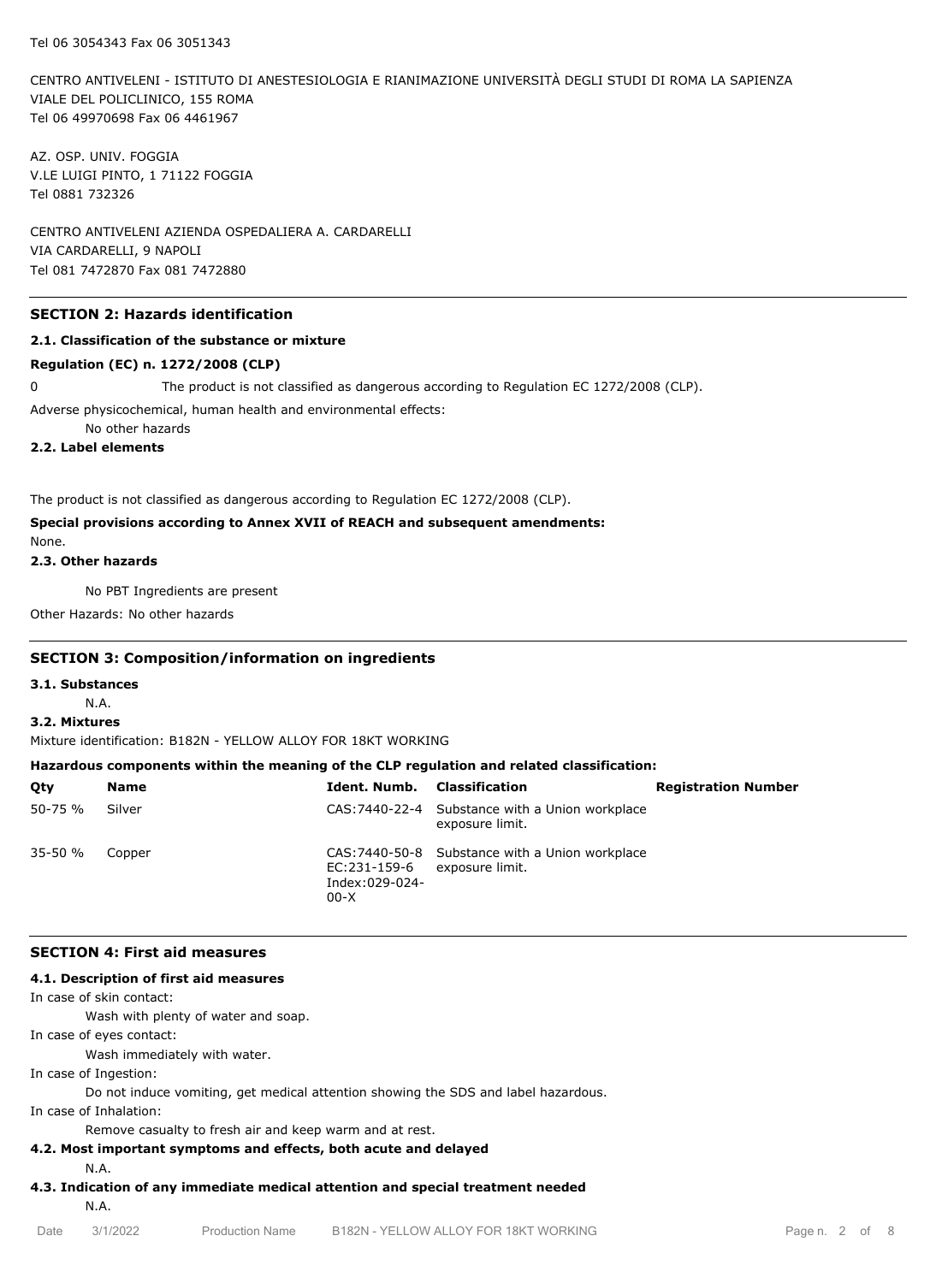CENTRO ANTIVELENI - ISTITUTO DI ANESTESIOLOGIA E RIANIMAZIONE UNIVERSITÀ DEGLI STUDI DI ROMA LA SAPIENZA VIALE DEL POLICLINICO, 155 ROMA Tel 06 49970698 Fax 06 4461967

AZ. OSP. UNIV. FOGGIA V.LE LUIGI PINTO, 1 71122 FOGGIA Tel 0881 732326

CENTRO ANTIVELENI AZIENDA OSPEDALIERA A. CARDARELLI VIA CARDARELLI, 9 NAPOLI Tel 081 7472870 Fax 081 7472880

#### **SECTION 2: Hazards identification**

#### **2.1. Classification of the substance or mixture**

#### **Regulation (EC) n. 1272/2008 (CLP)**

0 The product is not classified as dangerous according to Regulation EC 1272/2008 (CLP).

Adverse physicochemical, human health and environmental effects:

No other hazards

**2.2. Label elements**

The product is not classified as dangerous according to Regulation EC 1272/2008 (CLP).

#### **Special provisions according to Annex XVII of REACH and subsequent amendments:**

None.

#### **2.3. Other hazards**

No PBT Ingredients are present

Other Hazards: No other hazards

#### **SECTION 3: Composition/information on ingredients**

#### **3.1. Substances**

N.A.

# **3.2. Mixtures**

Mixture identification: B182N - YELLOW ALLOY FOR 18KT WORKING

#### **Hazardous components within the meaning of the CLP regulation and related classification:**

| Qty         | Name   | Ident. Numb.                                             | Classification                                                     | <b>Registration Number</b> |
|-------------|--------|----------------------------------------------------------|--------------------------------------------------------------------|----------------------------|
| 50-75 %     | Silver |                                                          | CAS: 7440-22-4 Substance with a Union workplace<br>exposure limit. |                            |
| $35 - 50 %$ | Copper | EC:231-159-6 exposure limit.<br>Index:029-024-<br>$00-X$ | CAS: 7440-50-8 Substance with a Union workplace                    |                            |

#### **SECTION 4: First aid measures**

#### **4.1. Description of first aid measures**

In case of skin contact:

Wash with plenty of water and soap.

In case of eyes contact:

Wash immediately with water.

In case of Ingestion:

Do not induce vomiting, get medical attention showing the SDS and label hazardous.

In case of Inhalation:

Remove casualty to fresh air and keep warm and at rest.

#### **4.2. Most important symptoms and effects, both acute and delayed**

N.A.

**4.3. Indication of any immediate medical attention and special treatment needed**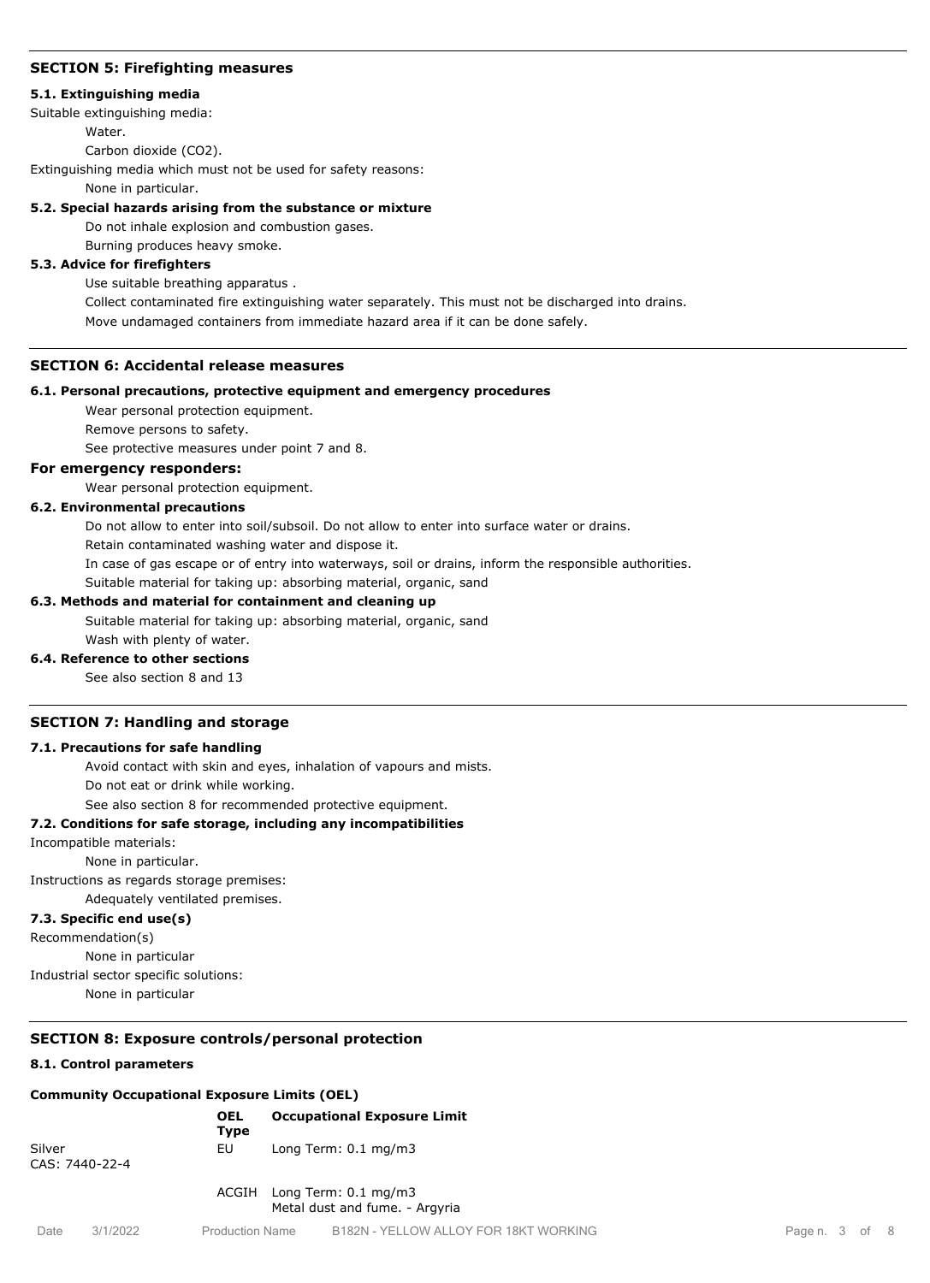## **SECTION 5: Firefighting measures**

#### **5.1. Extinguishing media**

Suitable extinguishing media:

**Water** 

Carbon dioxide (CO2).

Extinguishing media which must not be used for safety reasons:

None in particular.

## **5.2. Special hazards arising from the substance or mixture**

Do not inhale explosion and combustion gases.

Burning produces heavy smoke.

# **5.3. Advice for firefighters**

Use suitable breathing apparatus .

Collect contaminated fire extinguishing water separately. This must not be discharged into drains. Move undamaged containers from immediate hazard area if it can be done safely.

## **SECTION 6: Accidental release measures**

#### **6.1. Personal precautions, protective equipment and emergency procedures**

Wear personal protection equipment.

Remove persons to safety.

See protective measures under point 7 and 8.

## **For emergency responders:**

Wear personal protection equipment.

## **6.2. Environmental precautions**

Do not allow to enter into soil/subsoil. Do not allow to enter into surface water or drains.

Retain contaminated washing water and dispose it.

In case of gas escape or of entry into waterways, soil or drains, inform the responsible authorities.

Suitable material for taking up: absorbing material, organic, sand

#### **6.3. Methods and material for containment and cleaning up**

Suitable material for taking up: absorbing material, organic, sand

# Wash with plenty of water.

**6.4. Reference to other sections** See also section 8 and 13

# **SECTION 7: Handling and storage**

### **7.1. Precautions for safe handling**

Avoid contact with skin and eyes, inhalation of vapours and mists. Do not eat or drink while working.

See also section 8 for recommended protective equipment.

#### **7.2. Conditions for safe storage, including any incompatibilities**

#### Incompatible materials:

None in particular.

Instructions as regards storage premises:

Adequately ventilated premises.

# **7.3. Specific end use(s)**

Recommendation(s)

None in particular

Industrial sector specific solutions:

None in particular

# **SECTION 8: Exposure controls/personal protection**

#### **8.1. Control parameters**

#### **Community Occupational Exposure Limits (OEL)**

|                          |          | <b>OEL</b><br>Type     | <b>Occupational Exposure Limit</b>                                |
|--------------------------|----------|------------------------|-------------------------------------------------------------------|
| Silver<br>CAS: 7440-22-4 |          | EU                     | Long Term: $0.1 \text{ mg/m}$ 3                                   |
|                          |          | ACGIH                  | Long Term: $0.1 \text{ mg/m}$ 3<br>Metal dust and fume. - Argyria |
| Date                     | 3/1/2022 | <b>Production Name</b> | B182N - YELLOW ALLOY FOR 18KT WORKIN                              |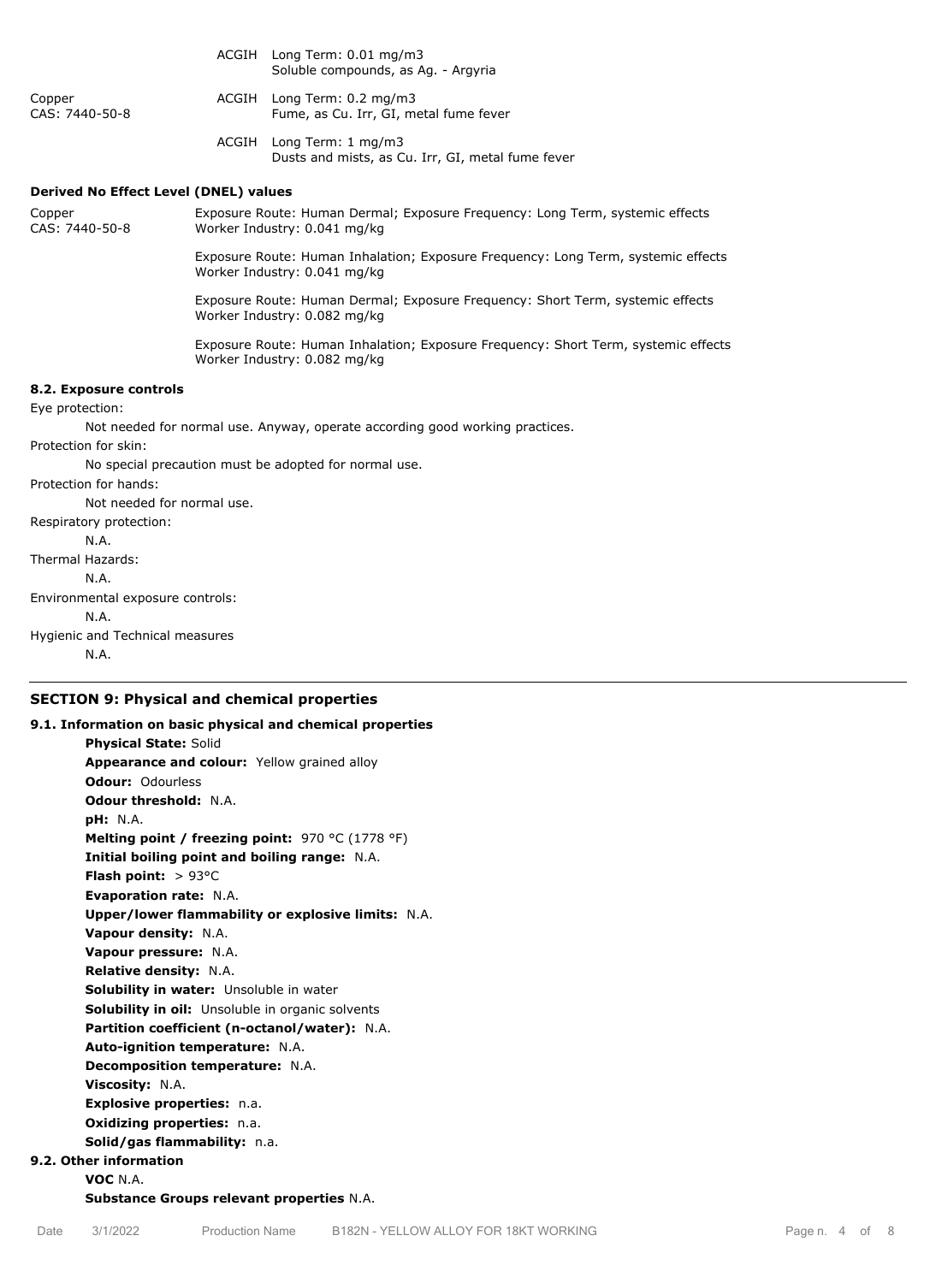|                                                                              |                                                                                                                   | ACGIH Long Term: 0.01 mg/m3<br>Soluble compounds, as Ag. - Argyria                                                 |  |  |  |
|------------------------------------------------------------------------------|-------------------------------------------------------------------------------------------------------------------|--------------------------------------------------------------------------------------------------------------------|--|--|--|
| Copper<br>CAS: 7440-50-8                                                     |                                                                                                                   | ACGIH Long Term: 0.2 mg/m3<br>Fume, as Cu. Irr, GI, metal fume fever                                               |  |  |  |
|                                                                              |                                                                                                                   | ACGIH Long Term: 1 mg/m3<br>Dusts and mists, as Cu. Irr, GI, metal fume fever                                      |  |  |  |
| <b>Derived No Effect Level (DNEL) values</b>                                 |                                                                                                                   |                                                                                                                    |  |  |  |
| Copper<br>CAS: 7440-50-8                                                     |                                                                                                                   | Exposure Route: Human Dermal; Exposure Frequency: Long Term, systemic effects<br>Worker Industry: 0.041 mg/kg      |  |  |  |
|                                                                              | Exposure Route: Human Inhalation; Exposure Frequency: Long Term, systemic effects<br>Worker Industry: 0.041 mg/kg |                                                                                                                    |  |  |  |
|                                                                              | Exposure Route: Human Dermal; Exposure Frequency: Short Term, systemic effects<br>Worker Industry: 0.082 mg/kg    |                                                                                                                    |  |  |  |
|                                                                              |                                                                                                                   | Exposure Route: Human Inhalation; Exposure Frequency: Short Term, systemic effects<br>Worker Industry: 0.082 mg/kg |  |  |  |
| 8.2. Exposure controls                                                       |                                                                                                                   |                                                                                                                    |  |  |  |
| Eye protection:                                                              |                                                                                                                   |                                                                                                                    |  |  |  |
| Not needed for normal use. Anyway, operate according good working practices. |                                                                                                                   |                                                                                                                    |  |  |  |
| Protection for skin:                                                         |                                                                                                                   |                                                                                                                    |  |  |  |
| No special precaution must be adopted for normal use.                        |                                                                                                                   |                                                                                                                    |  |  |  |
| Protection for hands:                                                        |                                                                                                                   |                                                                                                                    |  |  |  |
| Not needed for normal use.                                                   |                                                                                                                   |                                                                                                                    |  |  |  |
| Respiratory protection:                                                      |                                                                                                                   |                                                                                                                    |  |  |  |
| N.A.                                                                         |                                                                                                                   |                                                                                                                    |  |  |  |
| Thermal Hazards:                                                             |                                                                                                                   |                                                                                                                    |  |  |  |
| N.A.                                                                         |                                                                                                                   |                                                                                                                    |  |  |  |
| Environmental exposure controls:                                             |                                                                                                                   |                                                                                                                    |  |  |  |
| N.A.<br>.                                                                    |                                                                                                                   |                                                                                                                    |  |  |  |
|                                                                              |                                                                                                                   |                                                                                                                    |  |  |  |

Hygienic and Technical measures N.A.

# **SECTION 9: Physical and chemical properties**

# **9.1. Information on basic physical and chemical properties Physical State:** Solid **Appearance and colour:** Yellow grained alloy **Odour:** Odourless **Odour threshold:** N.A. **pH:** N.A. **Melting point / freezing point:** 970 °C (1778 °F) **Initial boiling point and boiling range:** N.A. **Flash point:** > 93°C **Evaporation rate:** N.A. **Upper/lower flammability or explosive limits:** N.A. **Vapour density:** N.A. **Vapour pressure:** N.A. **Relative density:** N.A. **Solubility in water:** Unsoluble in water **Solubility in oil:** Unsoluble in organic solvents **Partition coefficient (n-octanol/water):** N.A. **Auto-ignition temperature:** N.A. **Decomposition temperature:** N.A. **Viscosity:** N.A. **Explosive properties:** n.a. **Oxidizing properties:** n.a. **Solid/gas flammability:** n.a. **9.2. Other information VOC** N.A.

**Substance Groups relevant properties** N.A.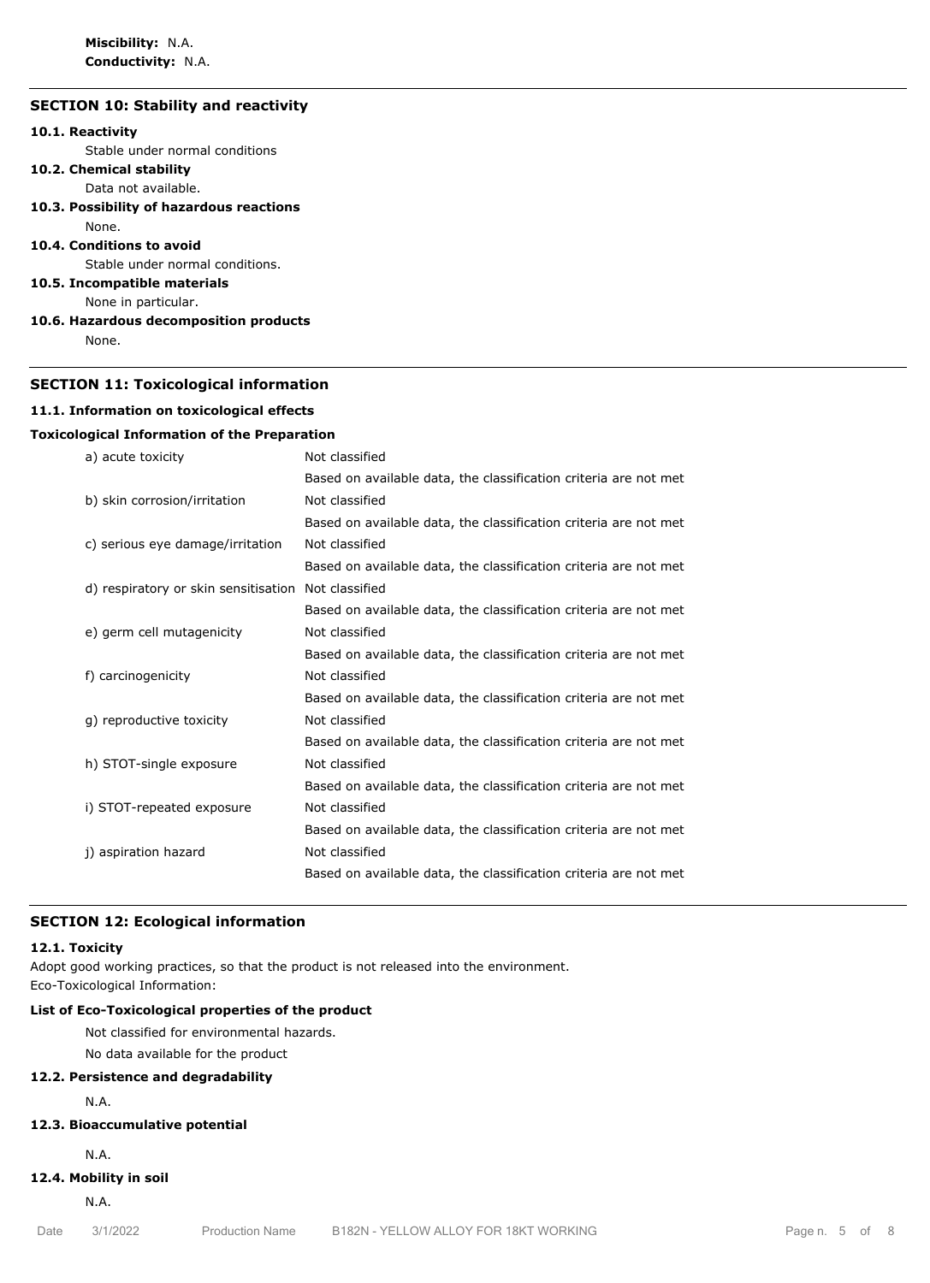**Miscibility:** N.A. **Conductivity:** N.A.

# **SECTION 10: Stability and reactivity**

# **10.1. Reactivity**

Stable under normal conditions

**10.2. Chemical stability**

Data not available.

**10.3. Possibility of hazardous reactions**

# None.

**10.4. Conditions to avoid**

Stable under normal conditions.

# **10.5. Incompatible materials**

None in particular.

#### **10.6. Hazardous decomposition products**

None.

#### **SECTION 11: Toxicological information**

#### **11.1. Information on toxicological effects**

#### **Toxicological Information of the Preparation**

| a) acute toxicity                    | Not classified                                                   |
|--------------------------------------|------------------------------------------------------------------|
|                                      | Based on available data, the classification criteria are not met |
| b) skin corrosion/irritation         | Not classified                                                   |
|                                      | Based on available data, the classification criteria are not met |
| c) serious eye damage/irritation     | Not classified                                                   |
|                                      | Based on available data, the classification criteria are not met |
| d) respiratory or skin sensitisation | Not classified                                                   |
|                                      | Based on available data, the classification criteria are not met |
| e) germ cell mutagenicity            | Not classified                                                   |
|                                      | Based on available data, the classification criteria are not met |
| f) carcinogenicity                   | Not classified                                                   |
|                                      | Based on available data, the classification criteria are not met |
| g) reproductive toxicity             | Not classified                                                   |
|                                      | Based on available data, the classification criteria are not met |
| h) STOT-single exposure              | Not classified                                                   |
|                                      | Based on available data, the classification criteria are not met |
| i) STOT-repeated exposure            | Not classified                                                   |
|                                      | Based on available data, the classification criteria are not met |
| j) aspiration hazard                 | Not classified                                                   |
|                                      | Based on available data, the classification criteria are not met |
|                                      |                                                                  |

#### **SECTION 12: Ecological information**

#### **12.1. Toxicity**

Adopt good working practices, so that the product is not released into the environment. Eco-Toxicological Information:

# **List of Eco-Toxicological properties of the product**

Not classified for environmental hazards.

No data available for the product

# **12.2. Persistence and degradability**

N.A.

# **12.3. Bioaccumulative potential**

N.A.

# **12.4. Mobility in soil**

N.A.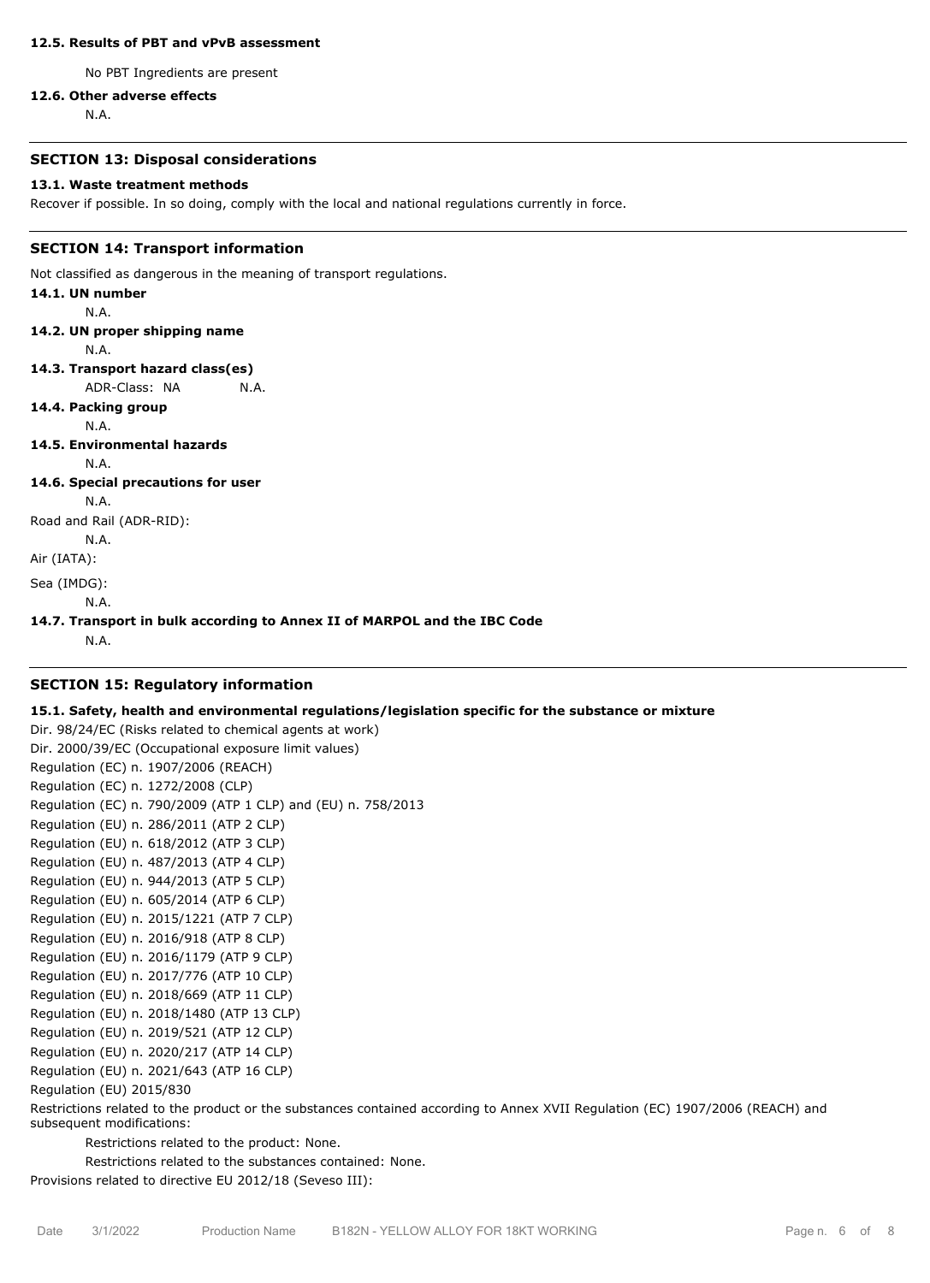#### **12.5. Results of PBT and vPvB assessment**

No PBT Ingredients are present

#### **12.6. Other adverse effects**

N.A.

#### **SECTION 13: Disposal considerations**

#### **13.1. Waste treatment methods**

Recover if possible. In so doing, comply with the local and national regulations currently in force.

#### **SECTION 14: Transport information**

Not classified as dangerous in the meaning of transport regulations.

**14.1. UN number** N.A. **14.2. UN proper shipping name** N.A. **14.3. Transport hazard class(es)** ADR-Class: NA N.A. **14.4. Packing group** N.A. **14.5. Environmental hazards** N.A. **14.6. Special precautions for user**

N.A.

Road and Rail (ADR-RID):

N.A.

Air (IATA):

Sea (IMDG):

N.A.

#### **14.7. Transport in bulk according to Annex II of MARPOL and the IBC Code**

N.A.

#### **SECTION 15: Regulatory information**

#### **15.1. Safety, health and environmental regulations/legislation specific for the substance or mixture**

Dir. 98/24/EC (Risks related to chemical agents at work) Dir. 2000/39/EC (Occupational exposure limit values) Regulation (EC) n. 1907/2006 (REACH) Regulation (EC) n. 1272/2008 (CLP) Regulation (EC) n. 790/2009 (ATP 1 CLP) and (EU) n. 758/2013 Regulation (EU) n. 286/2011 (ATP 2 CLP) Regulation (EU) n. 618/2012 (ATP 3 CLP) Regulation (EU) n. 487/2013 (ATP 4 CLP) Regulation (EU) n. 944/2013 (ATP 5 CLP) Regulation (EU) n. 605/2014 (ATP 6 CLP) Regulation (EU) n. 2015/1221 (ATP 7 CLP) Regulation (EU) n. 2016/918 (ATP 8 CLP) Regulation (EU) n. 2016/1179 (ATP 9 CLP) Regulation (EU) n. 2017/776 (ATP 10 CLP) Regulation (EU) n. 2018/669 (ATP 11 CLP) Regulation (EU) n. 2018/1480 (ATP 13 CLP) Regulation (EU) n. 2019/521 (ATP 12 CLP) Regulation (EU) n. 2020/217 (ATP 14 CLP) Regulation (EU) n. 2021/643 (ATP 16 CLP) Regulation (EU) 2015/830

Restrictions related to the product or the substances contained according to Annex XVII Regulation (EC) 1907/2006 (REACH) and subsequent modifications:

Restrictions related to the product: None.

Restrictions related to the substances contained: None.

Provisions related to directive EU 2012/18 (Seveso III):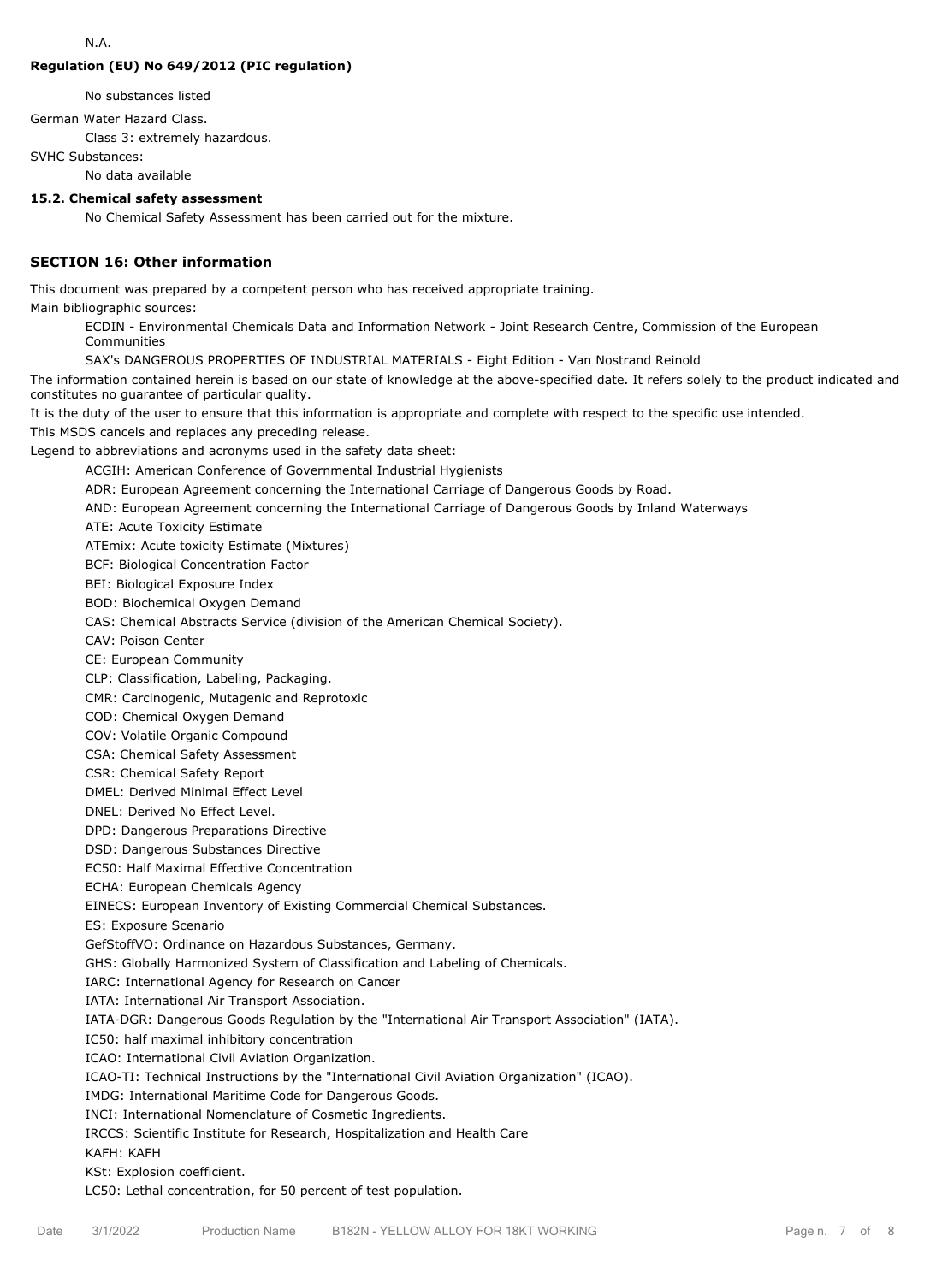# **Regulation (EU) No 649/2012 (PIC regulation)**

No substances listed

German Water Hazard Class.

Class 3: extremely hazardous.

SVHC Substances:

No data available

# **15.2. Chemical safety assessment**

No Chemical Safety Assessment has been carried out for the mixture.

# **SECTION 16: Other information**

This document was prepared by a competent person who has received appropriate training.

Main bibliographic sources:

ECDIN - Environmental Chemicals Data and Information Network - Joint Research Centre, Commission of the European Communities

SAX's DANGEROUS PROPERTIES OF INDUSTRIAL MATERIALS - Eight Edition - Van Nostrand Reinold

The information contained herein is based on our state of knowledge at the above-specified date. It refers solely to the product indicated and constitutes no guarantee of particular quality.

It is the duty of the user to ensure that this information is appropriate and complete with respect to the specific use intended.

This MSDS cancels and replaces any preceding release.

Legend to abbreviations and acronyms used in the safety data sheet:

ACGIH: American Conference of Governmental Industrial Hygienists

ADR: European Agreement concerning the International Carriage of Dangerous Goods by Road.

AND: European Agreement concerning the International Carriage of Dangerous Goods by Inland Waterways

ATE: Acute Toxicity Estimate

ATEmix: Acute toxicity Estimate (Mixtures)

BCF: Biological Concentration Factor

BEI: Biological Exposure Index

BOD: Biochemical Oxygen Demand

CAS: Chemical Abstracts Service (division of the American Chemical Society).

CAV: Poison Center

CE: European Community

CLP: Classification, Labeling, Packaging.

CMR: Carcinogenic, Mutagenic and Reprotoxic

COD: Chemical Oxygen Demand

COV: Volatile Organic Compound

CSA: Chemical Safety Assessment

CSR: Chemical Safety Report

DMEL: Derived Minimal Effect Level

DNEL: Derived No Effect Level.

DPD: Dangerous Preparations Directive

DSD: Dangerous Substances Directive

EC50: Half Maximal Effective Concentration

ECHA: European Chemicals Agency

EINECS: European Inventory of Existing Commercial Chemical Substances.

ES: Exposure Scenario

GefStoffVO: Ordinance on Hazardous Substances, Germany.

GHS: Globally Harmonized System of Classification and Labeling of Chemicals.

IARC: International Agency for Research on Cancer

IATA: International Air Transport Association.

IATA-DGR: Dangerous Goods Regulation by the "International Air Transport Association" (IATA).

IC50: half maximal inhibitory concentration

ICAO: International Civil Aviation Organization.

ICAO-TI: Technical Instructions by the "International Civil Aviation Organization" (ICAO).

IMDG: International Maritime Code for Dangerous Goods.

INCI: International Nomenclature of Cosmetic Ingredients.

IRCCS: Scientific Institute for Research, Hospitalization and Health Care

KAFH: KAFH

#### KSt: Explosion coefficient.

LC50: Lethal concentration, for 50 percent of test population.